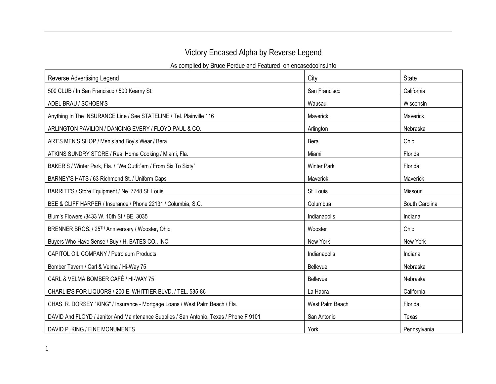## Victory Encased Alpha by Reverse Legend

As complied by Bruce Perdue and Featured on encasedcoins.info

| Reverse Advertising Legend                                                             | City               | <b>State</b>   |
|----------------------------------------------------------------------------------------|--------------------|----------------|
| 500 CLUB / In San Francisco / 500 Kearny St.                                           | San Francisco      | California     |
| ADEL BRAU / SCHOEN'S                                                                   | Wausau             | Wisconsin      |
| Anything In The INSURANCE Line / See STATELINE / Tel. Plainville 116                   | Maverick           | Maverick       |
| ARLINGTON PAVILION / DANCING EVERY / FLOYD PAUL & CO.                                  | Arlington          | Nebraska       |
| ART'S MEN'S SHOP / Men's and Boy's Wear / Bera                                         | Bera               | Ohio           |
| ATKINS SUNDRY STORE / Real Home Cooking / Miami, Fla.                                  | Miami              | Florida        |
| BAKER'S / Winter Park, Fla. / "We Outfit`em / From Six To Sixty"                       | <b>Winter Park</b> | Florida        |
| BARNEY'S HATS / 63 Richmond St. / Uniform Caps                                         | Maverick           | Maverick       |
| BARRITT'S / Store Equipment / Ne. 7748 St. Louis                                       | St. Louis          | Missouri       |
| BEE & CLIFF HARPER / Insurance / Phone 22131 / Columbia, S.C.                          | Columbua           | South Carolina |
| Blum's Flowers /3433 W. 10th St / BE. 3035                                             | Indianapolis       | Indiana        |
| BRENNER BROS. / 25 <sup>TH</sup> Anniversary / Wooster, Ohio                           | Wooster            | Ohio           |
| Buyers Who Have Sense / Buy / H. BATES CO., INC.                                       | New York           | New York       |
| CAPITOL OIL COMPANY / Petroleum Products                                               | Indianapolis       | Indiana        |
| Bomber Tavern / Carl & Velma / Hi-Way 75                                               | Bellevue           | Nebraska       |
| CARL & VELMA BOMBER CAFÉ / HI-WAY 75                                                   | Bellevue           | Nebraska       |
| CHARLIE'S FOR LIQUORS / 200 E. WHITTIER BLVD. / TEL. 535-86                            | La Habra           | California     |
| CHAS. R. DORSEY "KING" / Insurance - Mortgage Loans / West Palm Beach / Fla.           | West Palm Beach    | Florida        |
| DAVID And FLOYD / Janitor And Maintenance Supplies / San Antonio, Texas / Phone F 9101 | San Antonio        | Texas          |
| DAVID P. KING / FINE MONUMENTS                                                         | York               | Pennsylvania   |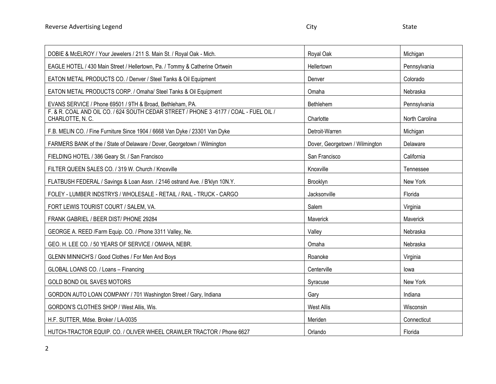| DOBIE & McELROY / Your Jewelers / 211 S. Main St. / Royal Oak - Mich.                                    | Royal Oak                      | Michigan       |
|----------------------------------------------------------------------------------------------------------|--------------------------------|----------------|
| EAGLE HOTEL / 430 Main Street / Hellertown, Pa. / Tommy & Catherine Ortwein                              | Hellertown                     | Pennsylvania   |
| EATON METAL PRODUCTS CO. / Denver / Steel Tanks & Oil Equipment                                          | Denver                         | Colorado       |
| EATON METAL PRODUCTS CORP. / Omaha/ Steel Tanks & Oil Equipment                                          | Omaha                          | Nebraska       |
| EVANS SERVICE / Phone 69501 / 9TH & Broad, Bethleham, PA.                                                | Bethlehem                      | Pennsylvania   |
| F. & R. COAL AND OIL CO. / 624 SOUTH CEDAR STREET / PHONE 3 -6177 / COAL - FUEL OIL /<br>CHARLOTTE, N.C. | Charlotte                      | North Carolina |
| F.B. MELIN CO. / Fine Furniture Since 1904 / 6668 Van Dyke / 23301 Van Dyke                              | Detroit-Warren                 | Michigan       |
| FARMERS BANK of the / State of Delaware / Dover, Georgetown / Wilmington                                 | Dover, Georgetown / Wilmington | Delaware       |
| FIELDING HOTEL / 386 Geary St. / San Francisco                                                           | San Francisco                  | California     |
| FILTER QUEEN SALES CO. / 319 W. Church / Knoxville                                                       | Knoxville                      | Tennessee      |
| FLATBUSH FEDERAL / Savings & Loan Assn. / 2146 ostrand Ave. / B'klyn 10N.Y.                              | Brooklyn                       | New York       |
| FOLEY - LUMBER INDSTRYS / WHOLESALE - RETAIL / RAIL - TRUCK - CARGO                                      | Jacksonville                   | Florida        |
| FORT LEWIS TOURIST COURT / SALEM, VA.                                                                    | Salem                          | Virginia       |
| FRANK GABRIEL / BEER DIST/ PHONE 29284                                                                   | Maverick                       | Maverick       |
| GEORGE A. REED /Farm Equip. CO. / Phone 3311 Valley, Ne.                                                 | Valley                         | Nebraska       |
| GEO. H. LEE CO. / 50 YEARS OF SERVICE / OMAHA, NEBR.                                                     | Omaha                          | Nebraska       |
| GLENN MINNICH'S / Good Clothes / For Men And Boys                                                        | Roanoke                        | Virginia       |
| GLOBAL LOANS CO. / Loans - Financing                                                                     | Centerville                    | lowa           |
| GOLD BOND OIL SAVES MOTORS                                                                               | Syracuse                       | New York       |
| GORDON AUTO LOAN COMPANY / 701 Washington Street / Gary, Indiana                                         | Gary                           | Indiana        |
| GORDON'S CLOTHES SHOP / West Allis, Wis.                                                                 | West Allis                     | Wisconsin      |
| H.F. SUTTER, Mdse. Broker / LA-0035                                                                      | Meriden                        | Connecticut    |
| HUTCH-TRACTOR EQUIP. CO. / OLIVER WHEEL CRAWLER TRACTOR / Phone 6627                                     | Orlando                        | Florida        |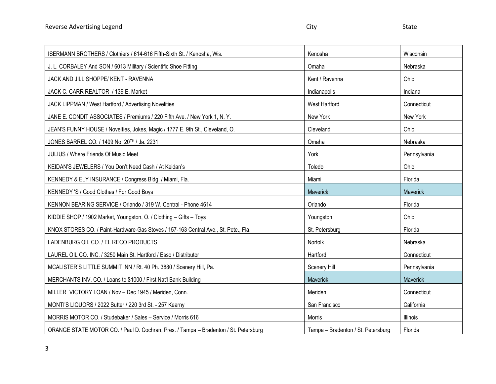| ISERMANN BROTHERS / Clothiers / 614-616 Fifth-Sixth St. / Kenosha, Wis.              | Kenosha                            | Wisconsin       |
|--------------------------------------------------------------------------------------|------------------------------------|-----------------|
| J. L. CORBALEY And SON / 6013 Military / Scientific Shoe Fitting                     | Omaha                              | Nebraska        |
| JACK AND JILL SHOPPE/ KENT - RAVENNA                                                 | Kent / Ravenna                     | Ohio            |
| JACK C. CARR REALTOR / 139 E. Market                                                 | Indianapolis                       | Indiana         |
| JACK LIPPMAN / West Hartford / Advertising Novelities                                | <b>West Hartford</b>               | Connecticut     |
| JANE E. CONDIT ASSOCIATES / Premiums / 220 Fifth Ave. / New York 1, N. Y.            | New York                           | New York        |
| JEAN'S FUNNY HOUSE / Novelties, Jokes, Magic / 1777 E. 9th St., Cleveland, O.        | Cleveland                          | Ohio            |
| JONES BARREL CO. / 1409 No. 20TH / Ja. 2231                                          | Omaha                              | Nebraska        |
| <b>JULIUS / Where Friends Of Music Meet</b>                                          | York                               | Pennsylvania    |
| KEIDAN'S JEWELERS / You Don't Need Cash / At Keidan's                                | Toledo                             | Ohio            |
| KENNEDY & ELY INSURANCE / Congress Bldg. / Miami, Fla.                               | Miami                              | Florida         |
| KENNEDY 'S / Good Clothes / For Good Boys                                            | Maverick                           | Maverick        |
| KENNON BEARING SERVICE / Orlando / 319 W. Central - Phone 4614                       | Orlando                            | Florida         |
| KIDDIE SHOP / 1902 Market, Youngston, O. / Clothing - Gifts - Toys                   | Youngston                          | Ohio            |
| KNOX STORES CO. / Paint-Hardware-Gas Stoves / 157-163 Central Ave., St. Pete., Fla.  | St. Petersburg                     | Florida         |
| LADENBURG OIL CO. / EL RECO PRODUCTS                                                 | Norfolk                            | Nebraska        |
| LAUREL OIL CO. INC. / 3250 Main St. Hartford / Esso / Distributor                    | Hartford                           | Connecticut     |
| MCALISTER'S LITTLE SUMMIT INN / Rt. 40 Ph. 3880 / Scenery Hill, Pa.                  | Scenery Hill                       | Pennsylvania    |
| MERCHANTS INV. CO. / Loans to \$1000 / First Nat'l Bank Building                     | Maverick                           | Maverick        |
| MILLER VICTORY LOAN / Nov - Dec 1945 / Meriden, Conn.                                | Meriden                            | Connecticut     |
| MONTI'S LIQUORS / 2022 Sutter / 220 3rd St. - 257 Kearny                             | San Francisco                      | California      |
| MORRIS MOTOR CO. / Studebaker / Sales - Service / Morris 616                         | <b>Morris</b>                      | <b>Illinois</b> |
| ORANGE STATE MOTOR CO. / Paul D. Cochran, Pres. / Tampa - Bradenton / St. Petersburg | Tampa - Bradenton / St. Petersburg | Florida         |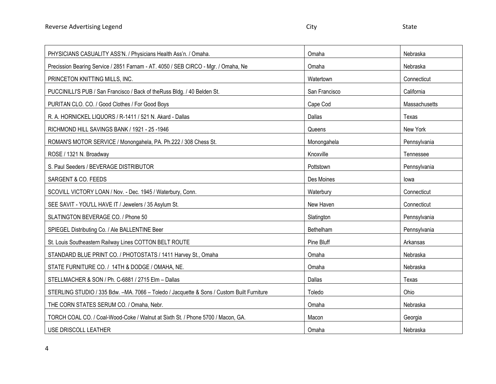| PHYSICIANS CASUALITY ASS'N. / Physicians Health Ass'n. / Omaha.                            | Omaha         | Nebraska      |
|--------------------------------------------------------------------------------------------|---------------|---------------|
| Precission Bearing Service / 2851 Farnam - AT. 4050 / SEB CIRCO - Mgr. / Omaha, Ne         | Omaha         | Nebraska      |
| PRINCETON KNITTING MILLS, INC.                                                             | Watertown     | Connecticut   |
| PUCCINILLI'S PUB / San Francisco / Back of the Russ Bldg. / 40 Belden St.                  | San Francisco | California    |
| PURITAN CLO. CO. / Good Clothes / For Good Boys                                            | Cape Cod      | Massachusetts |
| R. A. HORNICKEL LIQUORS / R-1411 / 521 N. Akard - Dallas                                   | Dallas        | Texas         |
| RICHMOND HILL SAVINGS BANK / 1921 - 25 -1946                                               | Queens        | New York      |
| ROMAN'S MOTOR SERVICE / Monongahela, PA. Ph.222 / 308 Chess St.                            | Monongahela   | Pennsylvania  |
| ROSE / 1321 N. Broadway                                                                    | Knoxville     | Tennessee     |
| S. Paul Seeders / BEVERAGE DISTRIBUTOR                                                     | Pottstown     | Pennsylvania  |
| SARGENT & CO. FEEDS                                                                        | Des Moines    | lowa          |
| SCOVILL VICTORY LOAN / Nov. - Dec. 1945 / Waterbury, Conn.                                 | Waterbury     | Connecticut   |
| SEE SAVIT - YOU'LL HAVE IT / Jewelers / 35 Asylum St.                                      | New Haven     | Connecticut   |
| SLATINGTON BEVERAGE CO. / Phone 50                                                         | Slatington    | Pennsylvania  |
| SPIEGEL Distributing Co. / Ale BALLENTINE Beer                                             | Bethelham     | Pennsylvania  |
| St. Louis Southeastern Railway Lines COTTON BELT ROUTE                                     | Pine Bluff    | Arkansas      |
| STANDARD BLUE PRINT CO. / PHOTOSTATS / 1411 Harvey St., Omaha                              | Omaha         | Nebraska      |
| STATE FURNITURE CO. / 14TH & DODGE / OMAHA, NE.                                            | Omaha         | Nebraska      |
| STELLMACHER & SON / Ph. C-6881 / 2715 Elm - Dallas                                         | Dallas        | Texas         |
| STERLING STUDIO / 335 Bdw. - MA. 7066 - Toledo / Jacquette & Sons / Custom Built Furniture | Toledo        | Ohio          |
| THE CORN STATES SERUM CO. / Omaha, Nebr.                                                   | Omaha         | Nebraska      |
| TORCH COAL CO. / Coal-Wood-Coke / Walnut at Sixth St. / Phone 5700 / Macon, GA.            | Macon         | Georgia       |
| USE DRISCOLL LEATHER                                                                       | Omaha         | Nebraska      |